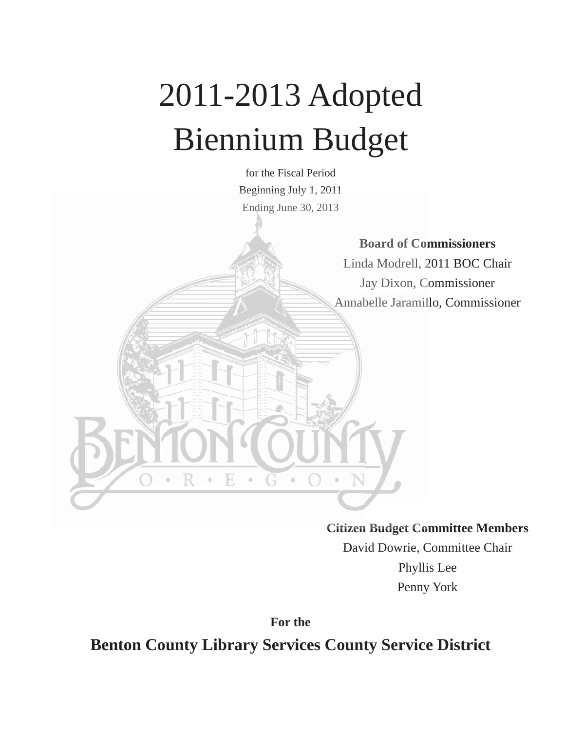# 2011-2013 Adopted Biennium Budget

for the Fiscal Period Beginning July 1, 2011 Beginning July Ending June 30, 2013

**Board of Commissioners Com**

Linda Modrell, 2011 BOC Chair Jay Dixon, Commissioner C Annabelle Jaramillo, Commissioner

**Citizen Budget Committee Members Citizen Budget Co**

David Dowrie, Committee Chair Phyllis Lee Penny York

**For the Benton County Library Services County Service District**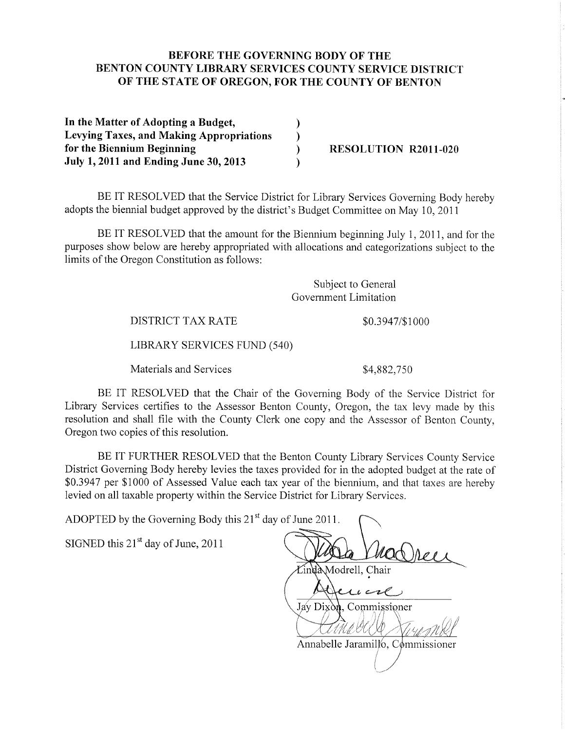#### BEFORE THE GOVERNING BODY OF THE **BENTON COUNTY LIBRARY SERVICES COUNTY SERVICE DISTRICT** OF THE STATE OF OREGON, FOR THE COUNTY OF BENTON

In the Matter of Adopting a Budget,  $\mathcal{F}$ **Levying Taxes, and Making Appropriations**  $\mathcal{E}$ for the Biennium Beginning  $\lambda$ July 1, 2011 and Ending June 30, 2013

**RESOLUTION R2011-020** 

BE IT RESOLVED that the Service District for Library Services Governing Body hereby adopts the biennial budget approved by the district's Budget Committee on May 10, 2011

BE IT RESOLVED that the amount for the Biennium beginning July 1, 2011, and for the purposes show below are hereby appropriated with allocations and categorizations subject to the limits of the Oregon Constitution as follows:

> Subject to General Government Limitation

**DISTRICT TAX RATE** 

\$0.3947/\$1000

LIBRARY SERVICES FUND (540)

Materials and Services

\$4,882,750

BE IT RESOLVED that the Chair of the Governing Body of the Service District for Library Services certifies to the Assessor Benton County, Oregon, the tax levy made by this resolution and shall file with the County Clerk one copy and the Assessor of Benton County, Oregon two copies of this resolution.

BE IT FURTHER RESOLVED that the Benton County Library Services County Service District Governing Body hereby levies the taxes provided for in the adopted budget at the rate of \$0.3947 per \$1000 of Assessed Value each tax year of the biennium, and that taxes are hereby levied on all taxable property within the Service District for Library Services.

ADOPTED by the Governing Body this 21<sup>st</sup> day of June 2011.

SIGNED this  $21<sup>st</sup>$  day of June, 2011

Linda Modrell, Chair  $c\mu$   $c$ Jay Dixon, Commissioner Annabelle Jaramillo, Commissioner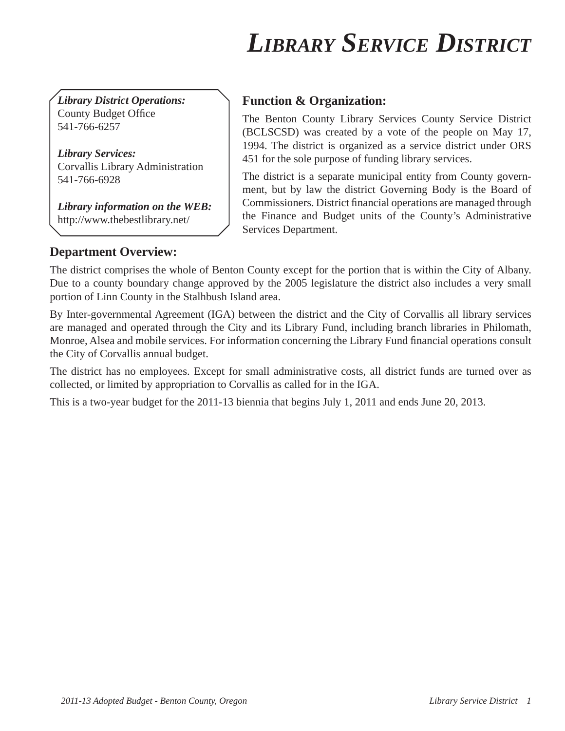## *LIBRARY SERVICE DISTRICT*

*Library District Operations:* County Budget Office 541-766-6257

*Library Services:* Corvallis Library Administration 541-766-6928

*Library information on the WEB:* http://www.thebestlibrary.net/

#### **Function & Organization:**

The Benton County Library Services County Service District (BCLSCSD) was created by a vote of the people on May 17, 1994. The district is organized as a service district under ORS 451 for the sole purpose of funding library services.

The district is a separate municipal entity from County government, but by law the district Governing Body is the Board of Commissioners. District financial operations are managed through the Finance and Budget units of the County's Administrative Services Department.

#### **Department Overview:**

The district comprises the whole of Benton County except for the portion that is within the City of Albany. Due to a county boundary change approved by the 2005 legislature the district also includes a very small portion of Linn County in the Stalhbush Island area.

By Inter-governmental Agreement (IGA) between the district and the City of Corvallis all library services are managed and operated through the City and its Library Fund, including branch libraries in Philomath, Monroe, Alsea and mobile services. For information concerning the Library Fund financial operations consult the City of Corvallis annual budget.

The district has no employees. Except for small administrative costs, all district funds are turned over as collected, or limited by appropriation to Corvallis as called for in the IGA.

This is a two-year budget for the 2011-13 biennia that begins July 1, 2011 and ends June 20, 2013.